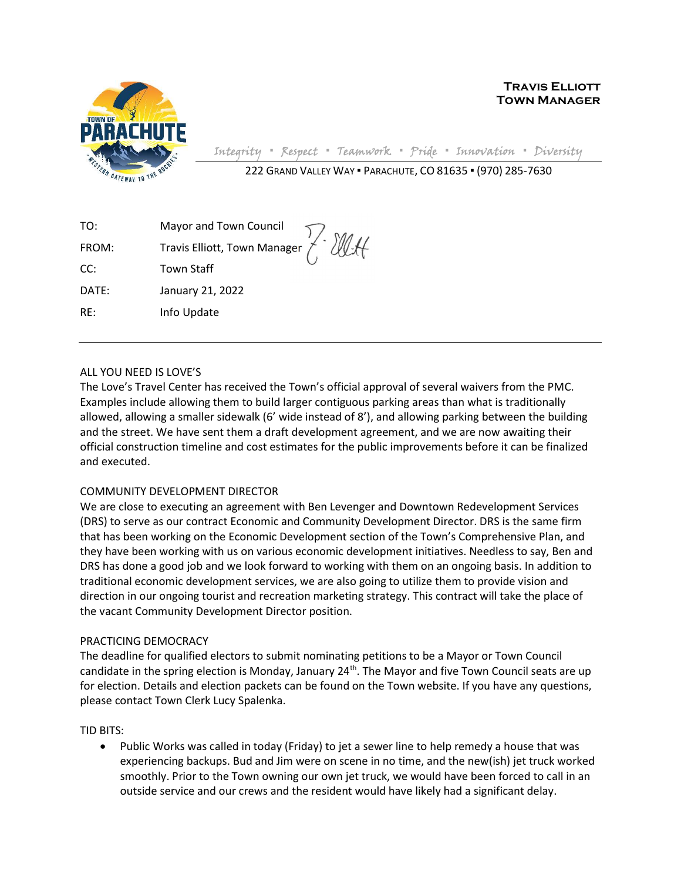

Travis Elliott Town Manager

Integrity ▪ Respect ▪ Teamwork ▪ Pride ▪ Innovation ▪ Diversity

222 GRAND VALLEY WAY ▪ PARACHUTE, CO 81635 ▪ (970) 285-7630

TO: Mayor and Town Council FROM: Travis Elliott, Town Manager CC: Town Staff DATE: January 21, 2022 RE: Info Update

## ALL YOU NEED IS LOVE'S

The Love's Travel Center has received the Town's official approval of several waivers from the PMC. Examples include allowing them to build larger contiguous parking areas than what is traditionally allowed, allowing a smaller sidewalk (6' wide instead of 8'), and allowing parking between the building and the street. We have sent them a draft development agreement, and we are now awaiting their official construction timeline and cost estimates for the public improvements before it can be finalized and executed.

Ellett

## COMMUNITY DEVELOPMENT DIRECTOR

We are close to executing an agreement with Ben Levenger and Downtown Redevelopment Services (DRS) to serve as our contract Economic and Community Development Director. DRS is the same firm that has been working on the Economic Development section of the Town's Comprehensive Plan, and they have been working with us on various economic development initiatives. Needless to say, Ben and DRS has done a good job and we look forward to working with them on an ongoing basis. In addition to traditional economic development services, we are also going to utilize them to provide vision and direction in our ongoing tourist and recreation marketing strategy. This contract will take the place of the vacant Community Development Director position.

## PRACTICING DEMOCRACY

The deadline for qualified electors to submit nominating petitions to be a Mayor or Town Council candidate in the spring election is Monday, January  $24<sup>th</sup>$ . The Mayor and five Town Council seats are up for election. Details and election packets can be found on the Town website. If you have any questions, please contact Town Clerk Lucy Spalenka.

## TID BITS:

• Public Works was called in today (Friday) to jet a sewer line to help remedy a house that was experiencing backups. Bud and Jim were on scene in no time, and the new(ish) jet truck worked smoothly. Prior to the Town owning our own jet truck, we would have been forced to call in an outside service and our crews and the resident would have likely had a significant delay.